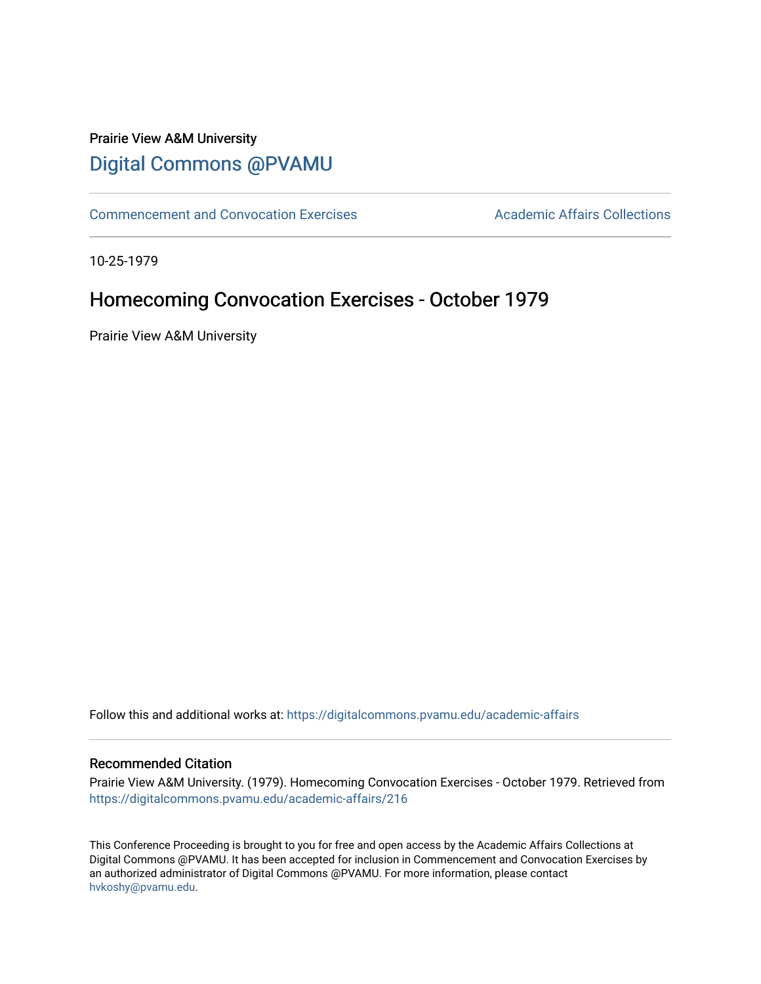# Prairie View A&M University [Digital Commons @PVAMU](https://digitalcommons.pvamu.edu/)

[Commencement and Convocation Exercises](https://digitalcommons.pvamu.edu/academic-affairs) **Academic Affairs Collections** 

10-25-1979

# Homecoming Convocation Exercises - October 1979

Prairie View A&M University

Follow this and additional works at: [https://digitalcommons.pvamu.edu/academic-affairs](https://digitalcommons.pvamu.edu/academic-affairs?utm_source=digitalcommons.pvamu.edu%2Facademic-affairs%2F216&utm_medium=PDF&utm_campaign=PDFCoverPages)

#### Recommended Citation

Prairie View A&M University. (1979). Homecoming Convocation Exercises - October 1979. Retrieved from [https://digitalcommons.pvamu.edu/academic-affairs/216](https://digitalcommons.pvamu.edu/academic-affairs/216?utm_source=digitalcommons.pvamu.edu%2Facademic-affairs%2F216&utm_medium=PDF&utm_campaign=PDFCoverPages)

This Conference Proceeding is brought to you for free and open access by the Academic Affairs Collections at Digital Commons @PVAMU. It has been accepted for inclusion in Commencement and Convocation Exercises by an authorized administrator of Digital Commons @PVAMU. For more information, please contact [hvkoshy@pvamu.edu](mailto:hvkoshy@pvamu.edu).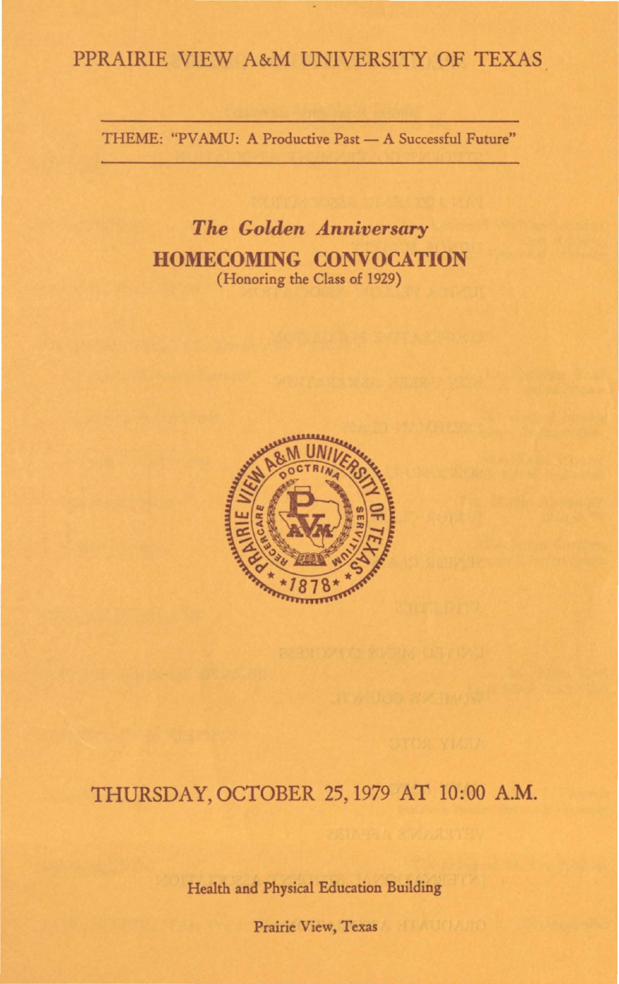## PPRAIRIE VIEW A&M UNIVERSITY OF TEXAS

THEME: "PVAMU: A Productive Past - A Successful Future"

*The Golden Anniversary*  **HOMECOMING CONVOCATION**  (Honoring the Class of 1929)



## THURSDAY, OCTOBER 25, 1979 AT 10:00 A.M.

Health and Physical Education Building

Prairie View, Texas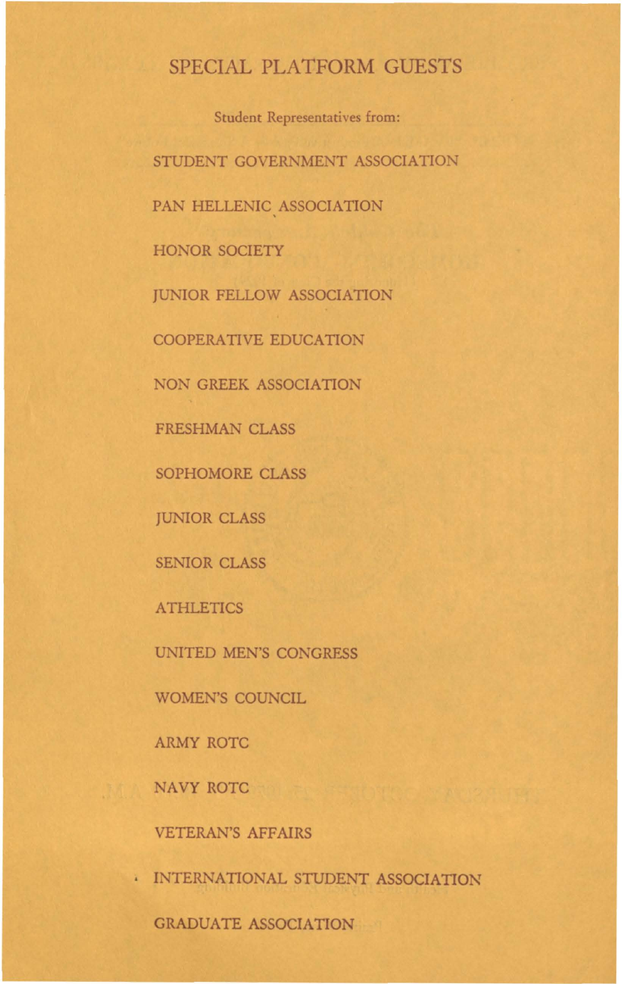## SPECIAL PLATFORM GUESTS

Student Representatives from: STUDENT GOVERNMENT ASSOCIATION PAN HELLENIC ASSOCIATION HONOR SOCIETY JUNIOR FELLOW ASSOCIATION COOPERATIVE EDUCATION NON GREEK ASSOCIATION FRESHMAN CLASS SOPHOMORE CLASS JUNIOR CLASS SENIOR CLASS ATHLETICS UNITED MEN'S CONGRESS WOMEN'S COUNCIL ARMY ROTC NAVY ROTC

VETERAN'S AFFAIRS

• INTERNATIONAL STUDENT ASSOCIATION

GRADUATE ASSOCIATION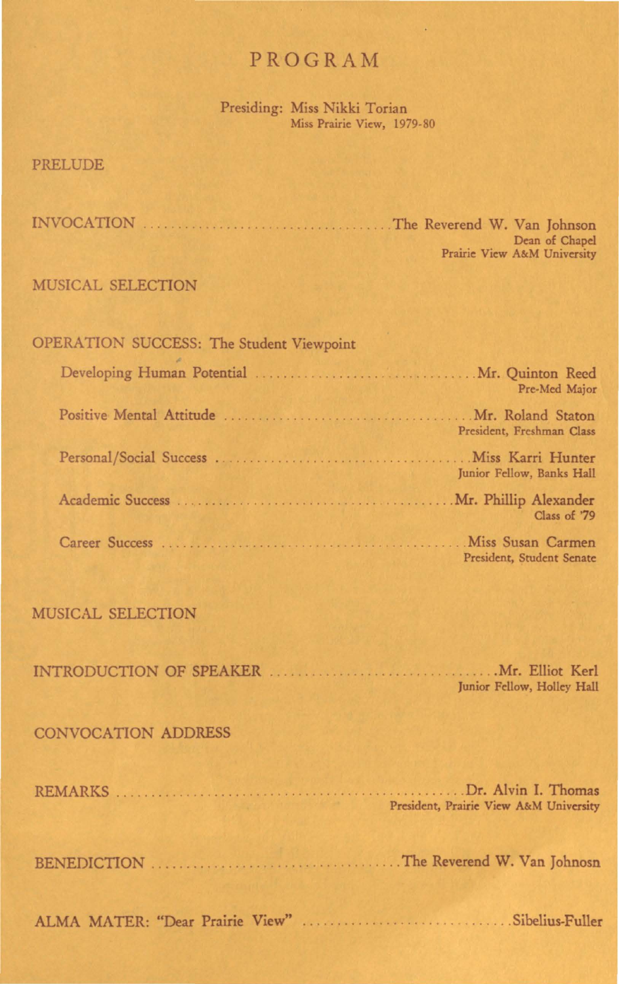## PROGRAM

Presiding: Miss Nikki Torian Miss Prairie View, 1979-80

#### PRELUDE

INVOCATION ...................... . ....... . .. The Reverend W. Van Johnson Dean of Chapel Prairie View A&M University

#### MUSICAL SELECTION

| <b>OPERATION SUCCESS: The Student Viewpoint</b> |
|-------------------------------------------------|
| Pre-Med Major                                   |
| President, Freshman Class                       |
| Junior Fellow, Banks Hall                       |
| Class of '79                                    |
| President, Student Senate                       |

#### MUSICAL SELECTION

|  | Junior Fellow, Holley Hall |  |
|--|----------------------------|--|

#### CONVOCATION ADDRESS

| President, Prairie View A&M University |
|----------------------------------------|
|                                        |

ALMA MATER: "Dear Prairie View" . . . . . . . . . . . . . . . . . . . . . . . ..... Sibelius-Fuller